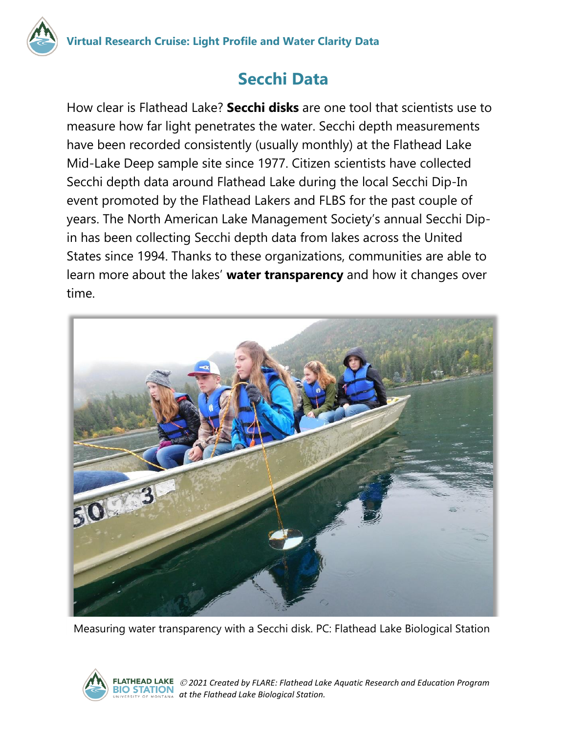

How clear is Flathead Lake? **Secchi disks** are one tool that scientists use to measure how far light penetrates the water. Secchi depth measurements have been recorded consistently (usually monthly) at the Flathead Lake Mid-Lake Deep sample site since 1977. Citizen scientists have collected Secchi depth data around Flathead Lake during the local Secchi Dip-In event promoted by the Flathead Lakers and FLBS for the past couple of years. The North American Lake Management Society's annual Secchi Dipin has been collecting Secchi depth data from lakes across the United States since 1994. Thanks to these organizations, communities are able to learn more about the lakes' **water transparency** and how it changes over time.



Measuring water transparency with a Secchi disk. PC: Flathead Lake Biological Station

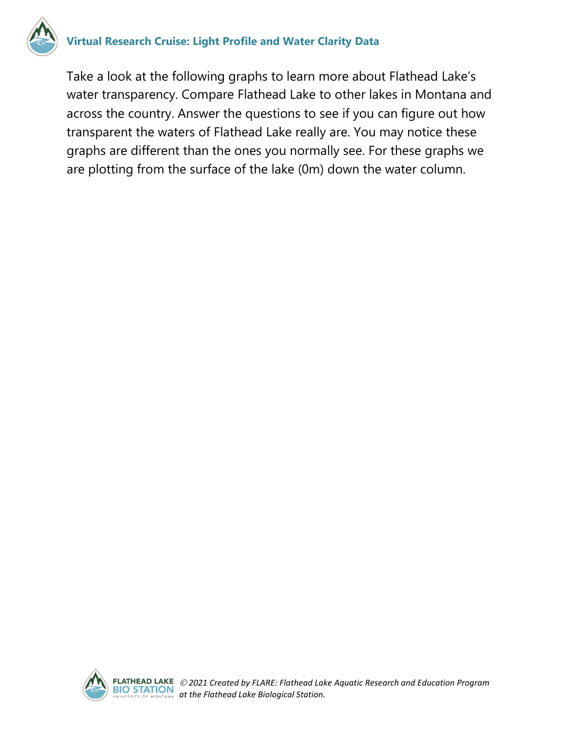

#### **Virtual Research Cruise: Light Profile and Water Clarity Data**

Take a look at the following graphs to learn more about Flathead Lake's water transparency. Compare Flathead Lake to other lakes in Montana and across the country. Answer the questions to see if you can figure out how transparent the waters of Flathead Lake really are. You may notice these graphs are different than the ones you normally see. For these graphs we are plotting from the surface of the lake (0m) down the water column.

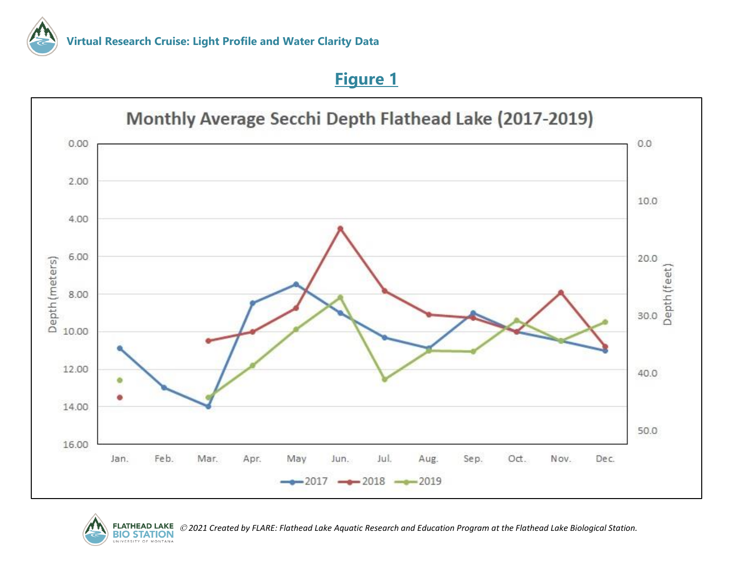#### **Figure 1**





*2021 Created by FLARE: Flathead Lake Aquatic Research and Education Program at the Flathead Lake Biological Station.*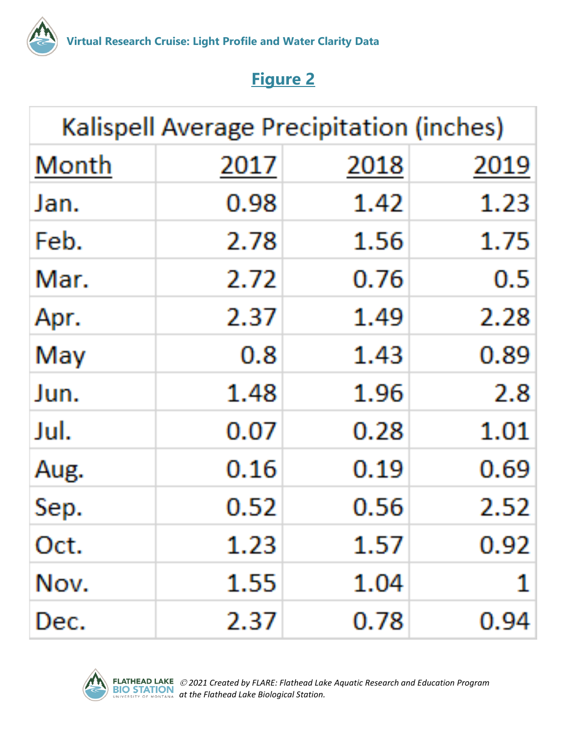

# **Figure 2**

| <b>Kalispell Average Precipitation (inches)</b> |      |      |      |
|-------------------------------------------------|------|------|------|
| Month                                           | 2017 | 2018 | 2019 |
| Jan.                                            | 0.98 | 1.42 | 1.23 |
| Feb.                                            | 2.78 | 1.56 | 1.75 |
| Mar.                                            | 2.72 | 0.76 | 0.5  |
| Apr.                                            | 2.37 | 1.49 | 2.28 |
| May                                             | 0.8  | 1.43 | 0.89 |
| Jun.                                            | 1.48 | 1.96 | 2.8  |
| Jul.                                            | 0.07 | 0.28 | 1.01 |
| Aug.                                            | 0.16 | 0.19 | 0.69 |
| Sep.                                            | 0.52 | 0.56 | 2.52 |
| Oct.                                            | 1.23 | 1.57 | 0.92 |
| Nov.                                            | 1.55 | 1.04 |      |
| Dec.                                            | 2.37 | 0.78 | 0.94 |

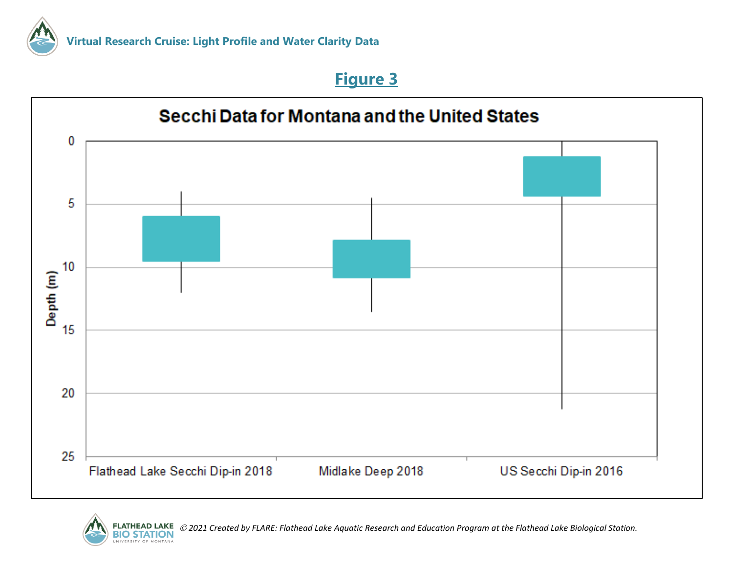## **Figure 3**





*2021 Created by FLARE: Flathead Lake Aquatic Research and Education Program at the Flathead Lake Biological Station.*